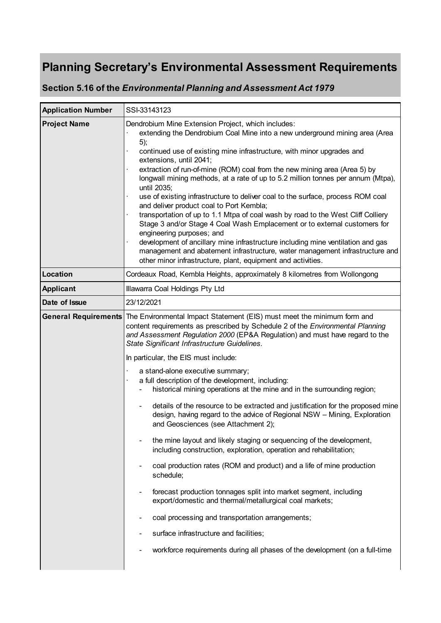# **Planning Secretary's Environmental Assessment Requirements**

**Section 5.16 of the** *Environmental Planning and Assessment Act 1979*

| <b>Application Number</b> | SSI-33143123                                                                                                                                                                                                                                                                                                                                                                                                                                                                                                                                                                                                                                                                                                                                                                                                                                                                                                                                                                                                                                                                                                                                                                                                                                                                       |
|---------------------------|------------------------------------------------------------------------------------------------------------------------------------------------------------------------------------------------------------------------------------------------------------------------------------------------------------------------------------------------------------------------------------------------------------------------------------------------------------------------------------------------------------------------------------------------------------------------------------------------------------------------------------------------------------------------------------------------------------------------------------------------------------------------------------------------------------------------------------------------------------------------------------------------------------------------------------------------------------------------------------------------------------------------------------------------------------------------------------------------------------------------------------------------------------------------------------------------------------------------------------------------------------------------------------|
| <b>Project Name</b>       | Dendrobium Mine Extension Project, which includes:<br>extending the Dendrobium Coal Mine into a new underground mining area (Area<br>5);<br>continued use of existing mine infrastructure, with minor upgrades and<br>extensions, until 2041;<br>extraction of run-of-mine (ROM) coal from the new mining area (Area 5) by<br>longwall mining methods, at a rate of up to 5.2 million tonnes per annum (Mtpa),<br>until 2035;<br>use of existing infrastructure to deliver coal to the surface, process ROM coal<br>and deliver product coal to Port Kembla;<br>transportation of up to 1.1 Mtpa of coal wash by road to the West Cliff Colliery<br>Stage 3 and/or Stage 4 Coal Wash Emplacement or to external customers for<br>engineering purposes; and<br>development of ancillary mine infrastructure including mine ventilation and gas<br>management and abatement infrastructure, water management infrastructure and<br>other minor infrastructure, plant, equipment and activities.                                                                                                                                                                                                                                                                                      |
| Location                  | Cordeaux Road, Kembla Heights, approximately 8 kilometres from Wollongong                                                                                                                                                                                                                                                                                                                                                                                                                                                                                                                                                                                                                                                                                                                                                                                                                                                                                                                                                                                                                                                                                                                                                                                                          |
| <b>Applicant</b>          | Illawarra Coal Holdings Pty Ltd                                                                                                                                                                                                                                                                                                                                                                                                                                                                                                                                                                                                                                                                                                                                                                                                                                                                                                                                                                                                                                                                                                                                                                                                                                                    |
| Date of Issue             | 23/12/2021                                                                                                                                                                                                                                                                                                                                                                                                                                                                                                                                                                                                                                                                                                                                                                                                                                                                                                                                                                                                                                                                                                                                                                                                                                                                         |
|                           | General Requirements The Environmental Impact Statement (EIS) must meet the minimum form and<br>content requirements as prescribed by Schedule 2 of the Environmental Planning<br>and Assessment Regulation 2000 (EP&A Regulation) and must have regard to the<br>State Significant Infrastructure Guidelines.<br>In particular, the EIS must include:<br>a stand-alone executive summary;<br>a full description of the development, including:<br>historical mining operations at the mine and in the surrounding region;<br>details of the resource to be extracted and justification for the proposed mine<br>design, having regard to the advice of Regional NSW - Mining, Exploration<br>and Geosciences (see Attachment 2);<br>the mine layout and likely staging or sequencing of the development,<br>including construction, exploration, operation and rehabilitation;<br>coal production rates (ROM and product) and a life of mine production<br>schedule;<br>forecast production tonnages split into market segment, including<br>export/domestic and thermal/metallurgical coal markets;<br>coal processing and transportation arrangements;<br>surface infrastructure and facilities;<br>workforce requirements during all phases of the development (on a full-time |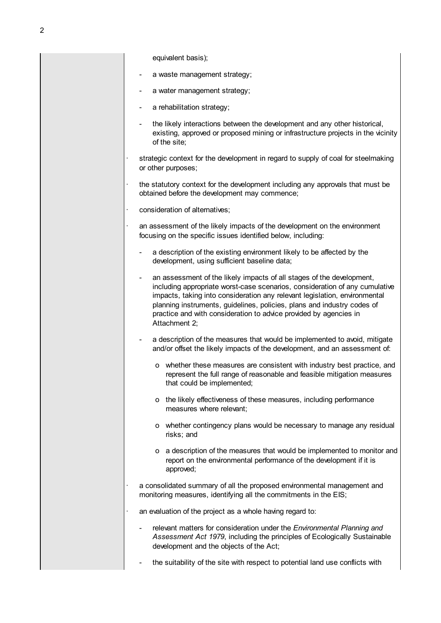equivalent basis);

- a waste management strategy;
- a water management strategy;
- a rehabilitation strategy;
- the likely interactions between the development and any other historical, existing, approved or proposed mining or infrastructure projects in the vicinity of the site;
- strategic context for the development in regard to supply of coal for steelmaking or other purposes;
- the statutory context for the development including any approvals that must be obtained before the development may commence;
- · consideration of alternatives;
- an assessment of the likely impacts of the development on the environment focusing on the specific issues identified below, including:
	- a description of the existing environment likely to be affected by the development, using sufficient baseline data;
	- an assessment of the likely impacts of all stages of the development, including appropriate worst-case scenarios, consideration of any cumulative impacts, taking into consideration any relevant legislation, environmental planning instruments, guidelines, policies, plans and industry codes of practice and with consideration to advice provided by agencies in Attachment 2;
	- a description of the measures that would be implemented to avoid, mitigate and/or offset the likely impacts of the development, and an assessment of:
		- o whether these measures are consistent with industry best practice, and represent the full range of reasonable and feasible mitigation measures that could be implemented;
		- o the likely effectiveness of these measures, including performance measures where relevant;
		- o whether contingency plans would be necessary to manage any residual risks; and
		- o a description of the measures that would be implemented to monitor and report on the environmental performance of the development if it is approved;
	- a consolidated summary of all the proposed environmental management and monitoring measures, identifying all the commitments in the EIS;
	- an evaluation of the project as a whole having regard to:
		- relevant matters for consideration under the *Environmental Planning and Assessment Act 1979*, including the principles of Ecologically Sustainable development and the objects of the Act;
		- the suitability of the site with respect to potential land use conflicts with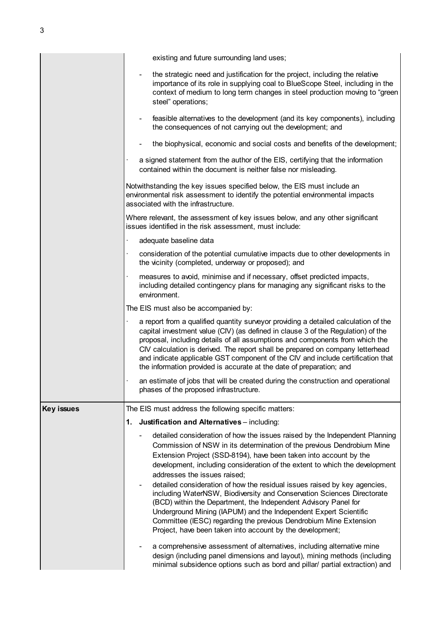|                   | existing and future surrounding land uses;                                                                                                                                                                                                                                                                                                                                                                                                                                                                                                                                                                                                                                                                                                                                |
|-------------------|---------------------------------------------------------------------------------------------------------------------------------------------------------------------------------------------------------------------------------------------------------------------------------------------------------------------------------------------------------------------------------------------------------------------------------------------------------------------------------------------------------------------------------------------------------------------------------------------------------------------------------------------------------------------------------------------------------------------------------------------------------------------------|
|                   | the strategic need and justification for the project, including the relative<br>importance of its role in supplying coal to BlueScope Steel, including in the<br>context of medium to long term changes in steel production moving to "green<br>steel" operations;                                                                                                                                                                                                                                                                                                                                                                                                                                                                                                        |
|                   | feasible alternatives to the development (and its key components), including<br>the consequences of not carrying out the development; and                                                                                                                                                                                                                                                                                                                                                                                                                                                                                                                                                                                                                                 |
|                   | the biophysical, economic and social costs and benefits of the development;                                                                                                                                                                                                                                                                                                                                                                                                                                                                                                                                                                                                                                                                                               |
|                   | a signed statement from the author of the EIS, certifying that the information<br>contained within the document is neither false nor misleading.                                                                                                                                                                                                                                                                                                                                                                                                                                                                                                                                                                                                                          |
|                   | Notwithstanding the key issues specified below, the EIS must include an<br>environmental risk assessment to identify the potential environmental impacts<br>associated with the infrastructure.                                                                                                                                                                                                                                                                                                                                                                                                                                                                                                                                                                           |
|                   | Where relevant, the assessment of key issues below, and any other significant<br>issues identified in the risk assessment, must include:                                                                                                                                                                                                                                                                                                                                                                                                                                                                                                                                                                                                                                  |
|                   | adequate baseline data                                                                                                                                                                                                                                                                                                                                                                                                                                                                                                                                                                                                                                                                                                                                                    |
|                   | consideration of the potential cumulative impacts due to other developments in<br>the vicinity (completed, underway or proposed); and                                                                                                                                                                                                                                                                                                                                                                                                                                                                                                                                                                                                                                     |
|                   | measures to avoid, minimise and if necessary, offset predicted impacts,<br>including detailed contingency plans for managing any significant risks to the<br>environment.                                                                                                                                                                                                                                                                                                                                                                                                                                                                                                                                                                                                 |
|                   | The EIS must also be accompanied by:                                                                                                                                                                                                                                                                                                                                                                                                                                                                                                                                                                                                                                                                                                                                      |
|                   | a report from a qualified quantity surveyor providing a detailed calculation of the<br>capital investment value (CIV) (as defined in clause 3 of the Regulation) of the<br>proposal, including details of all assumptions and components from which the<br>CIV calculation is derived. The report shall be prepared on company letterhead<br>and indicate applicable GST component of the CIV and include certification that<br>the information provided is accurate at the date of preparation; and                                                                                                                                                                                                                                                                      |
|                   | an estimate of jobs that will be created during the construction and operational<br>phases of the proposed infrastructure.                                                                                                                                                                                                                                                                                                                                                                                                                                                                                                                                                                                                                                                |
| <b>Key issues</b> | The EIS must address the following specific matters:                                                                                                                                                                                                                                                                                                                                                                                                                                                                                                                                                                                                                                                                                                                      |
|                   | Justification and Alternatives - including:<br>1.                                                                                                                                                                                                                                                                                                                                                                                                                                                                                                                                                                                                                                                                                                                         |
|                   | detailed consideration of how the issues raised by the Independent Planning<br>Commission of NSW in its determination of the previous Dendrobium Mine<br>Extension Project (SSD-8194), have been taken into account by the<br>development, including consideration of the extent to which the development<br>addresses the issues raised;<br>detailed consideration of how the residual issues raised by key agencies,<br>including WaterNSW, Biodiversity and Conservation Sciences Directorate<br>(BCD) within the Department, the Independent Advisory Panel for<br>Underground Mining (IAPUM) and the Independent Expert Scientific<br>Committee (IESC) regarding the previous Dendrobium Mine Extension<br>Project, have been taken into account by the development; |
|                   | a comprehensive assessment of alternatives, including alternative mine<br>design (including panel dimensions and layout), mining methods (including<br>minimal subsidence options such as bord and pillar/ partial extraction) and                                                                                                                                                                                                                                                                                                                                                                                                                                                                                                                                        |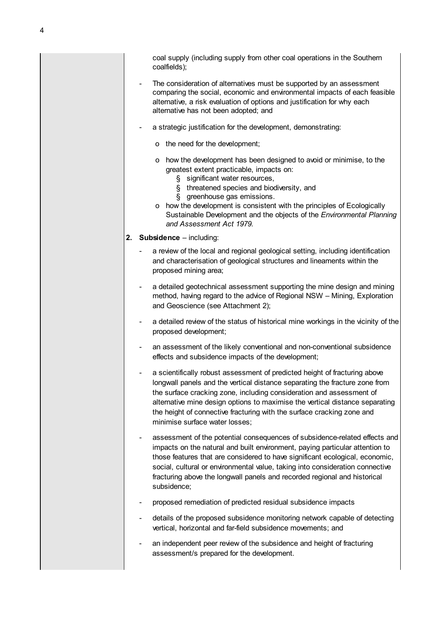coal supply (including supply from other coal operations in the Southern coalfields);

- The consideration of alternatives must be supported by an assessment comparing the social, economic and environmental impacts of each feasible alternative, a risk evaluation of options and justification for why each alternative has not been adopted; and
- a strategic justification for the development, demonstrating:
	- o the need for the development;
	- o how the development has been designed to avoid or minimise, to the greatest extent practicable, impacts on:
		- § significant water resources,
		- § threatened species and biodiversity, and
		- § greenhouse gas emissions.
	- o how the development is consistent with the principles of Ecologically Sustainable Development and the objects of the *Environmental Planning and Assessment Act 1979.*
- **2. Subsidence**  including:
	- a review of the local and regional geological setting, including identification and characterisation of geological structures and lineaments within the proposed mining area;
	- a detailed geotechnical assessment supporting the mine design and mining method, having regard to the advice of Regional NSW – Mining, Exploration and Geoscience (see Attachment 2);
	- a detailed review of the status of historical mine workings in the vicinity of the proposed development;
	- an assessment of the likely conventional and non-conventional subsidence effects and subsidence impacts of the development;
	- a scientifically robust assessment of predicted height of fracturing above longwall panels and the vertical distance separating the fracture zone from the surface cracking zone, including consideration and assessment of alternative mine design options to maximise the vertical distance separating the height of connective fracturing with the surface cracking zone and minimise surface water losses;
	- assessment of the potential consequences of subsidence-related effects and impacts on the natural and built environment, paying particular attention to those features that are considered to have significant ecological, economic, social, cultural or environmental value, taking into consideration connective fracturing above the longwall panels and recorded regional and historical subsidence;
	- proposed remediation of predicted residual subsidence impacts
	- details of the proposed subsidence monitoring network capable of detecting vertical, horizontal and far-field subsidence movements; and
	- an independent peer review of the subsidence and height of fracturing assessment/s prepared for the development.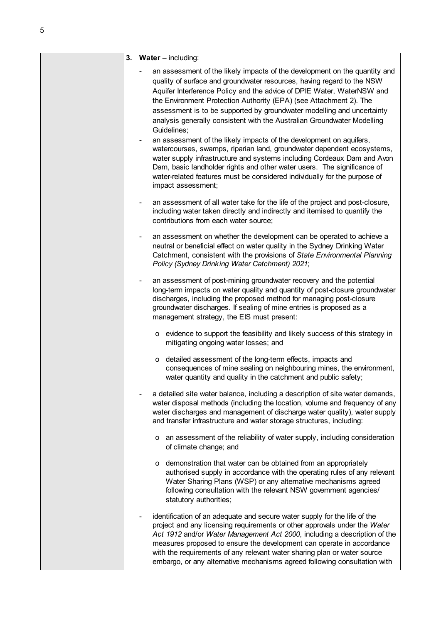#### **3. Water** – including:

- an assessment of the likely impacts of the development on the quantity and quality of surface and groundwater resources, having regard to the NSW Aquifer Interference Policy and the advice of DPIE Water, WaterNSW and the Environment Protection Authority (EPA) (see Attachment 2). The assessment is to be supported by groundwater modelling and uncertainty analysis generally consistent with the Australian Groundwater Modelling Guidelines;
- an assessment of the likely impacts of the development on aquifers, watercourses, swamps, riparian land, groundwater dependent ecosystems, water supply infrastructure and systems including Cordeaux Dam and Avon Dam, basic landholder rights and other water users. The significance of water-related features must be considered individually for the purpose of impact assessment;
- an assessment of all water take for the life of the project and post-closure, including water taken directly and indirectly and itemised to quantify the contributions from each water source;
- an assessment on whether the development can be operated to achieve a neutral or beneficial effect on water quality in the Sydney Drinking Water Catchment, consistent with the provisions of *State Environmental Planning Policy (Sydney Drinking Water Catchment) 2021*;
- an assessment of post-mining groundwater recovery and the potential long-term impacts on water quality and quantity of post-closure groundwater discharges, including the proposed method for managing post-closure groundwater discharges. If sealing of mine entries is proposed as a management strategy, the EIS must present:
	- o evidence to support the feasibility and likely success of this strategy in mitigating ongoing water losses; and
	- o detailed assessment of the long-term effects, impacts and consequences of mine sealing on neighbouring mines, the environment, water quantity and quality in the catchment and public safety;
- a detailed site water balance, including a description of site water demands, water disposal methods (including the location, volume and frequency of any water discharges and management of discharge water quality), water supply and transfer infrastructure and water storage structures, including:
	- o an assessment of the reliability of water supply, including consideration of climate change; and
	- o demonstration that water can be obtained from an appropriately authorised supply in accordance with the operating rules of any relevant Water Sharing Plans (WSP) or any alternative mechanisms agreed following consultation with the relevant NSW government agencies/ statutory authorities:
- identification of an adequate and secure water supply for the life of the project and any licensing requirements or other approvals under the *Water Act 1912* and/or *Water Management Act 2000*, including a description of the measures proposed to ensure the development can operate in accordance with the requirements of any relevant water sharing plan or water source embargo, or any alternative mechanisms agreed following consultation with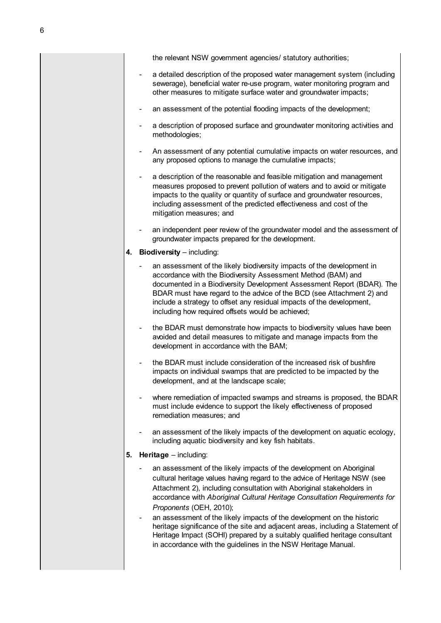the relevant NSW government agencies/ statutory authorities;

- a detailed description of the proposed water management system (including sewerage), beneficial water re-use program, water monitoring program and other measures to mitigate surface water and groundwater impacts;
- an assessment of the potential flooding impacts of the development;
- a description of proposed surface and groundwater monitoring activities and methodologies;
- An assessment of any potential cumulative impacts on water resources, and any proposed options to manage the cumulative impacts;
- a description of the reasonable and feasible mitigation and management measures proposed to prevent pollution of waters and to avoid or mitigate impacts to the quality or quantity of surface and groundwater resources, including assessment of the predicted effectiveness and cost of the mitigation measures; and
- an independent peer review of the groundwater model and the assessment of groundwater impacts prepared for the development.
- **4. Biodiversity** including:
	- an assessment of the likely biodiversity impacts of the development in accordance with the Biodiversity Assessment Method (BAM) and documented in a Biodiversity Development Assessment Report (BDAR). The BDAR must have regard to the advice of the BCD (see Attachment 2) and include a strategy to offset any residual impacts of the development, including how required offsets would be achieved;
	- the BDAR must demonstrate how impacts to biodiversity values have been avoided and detail measures to mitigate and manage impacts from the development in accordance with the BAM;
	- the BDAR must include consideration of the increased risk of bushfire impacts on individual swamps that are predicted to be impacted by the development, and at the landscape scale;
	- where remediation of impacted swamps and streams is proposed, the BDAR must include evidence to support the likely effectiveness of proposed remediation measures; and
	- an assessment of the likely impacts of the development on aquatic ecology, including aquatic biodiversity and key fish habitats.

#### **5. Heritage** – including:

- an assessment of the likely impacts of the development on Aboriginal cultural heritage values having regard to the advice of Heritage NSW (see Attachment 2), including consultation with Aboriginal stakeholders in accordance with *Aboriginal Cultural Heritage Consultation Requirements for Proponents* (OEH, 2010);
- an assessment of the likely impacts of the development on the historic heritage significance of the site and adjacent areas, including a Statement of Heritage Impact (SOHI) prepared by a suitably qualified heritage consultant in accordance with the guidelines in the NSW Heritage Manual.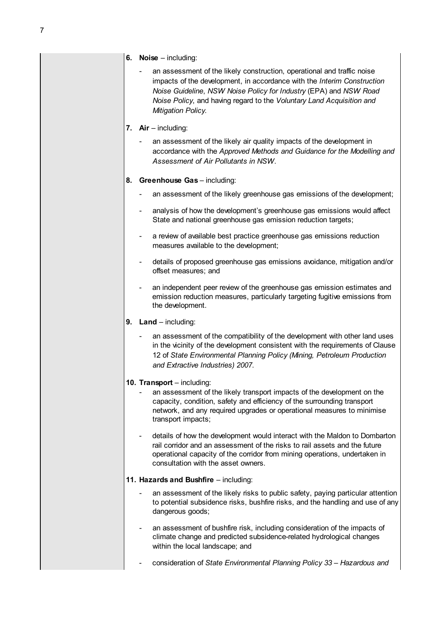#### **6. Noise** – including:

an assessment of the likely construction, operational and traffic noise impacts of the development, in accordance with the *Interim Construction Noise Guideline*, *NSW Noise Policy for Industry* (EPA) and *NSW Road Noise Policy*, and having regard to the *Voluntary Land Acquisition and Mitigation Policy.*

#### **7. Air** – including:

an assessment of the likely air quality impacts of the development in accordance with the *Approved Methods and Guidance for the Modelling and Assessment of Air Pollutants in NSW*.

#### **8.** Greenhouse Gas - including:

- an assessment of the likely greenhouse gas emissions of the development;
- analysis of how the development's greenhouse gas emissions would affect State and national greenhouse gas emission reduction targets;
- a review of available best practice greenhouse gas emissions reduction measures available to the development;
- details of proposed greenhouse gas emissions avoidance, mitigation and/or offset measures; and
- an independent peer review of the greenhouse gas emission estimates and emission reduction measures, particularly targeting fugitive emissions from the development.
- **9.** Land including:
	- an assessment of the compatibility of the development with other land uses in the vicinity of the development consistent with the requirements of Clause 12 of *State Environmental Planning Policy (Mining, Petroleum Production and Extractive Industries) 2007*.

#### **10. Transport** – including:

- an assessment of the likely transport impacts of the development on the capacity, condition, safety and efficiency of the surrounding transport network, and any required upgrades or operational measures to minimise transport impacts;
- details of how the development would interact with the Maldon to Dombarton rail corridor and an assessment of the risks to rail assets and the future operational capacity of the corridor from mining operations, undertaken in consultation with the asset owners.

#### **11. Hazards and Bushfire** – including:

- an assessment of the likely risks to public safety, paying particular attention to potential subsidence risks, bushfire risks, and the handling and use of any dangerous goods;
- an assessment of bushfire risk, including consideration of the impacts of climate change and predicted subsidence-related hydrological changes within the local landscape; and
- consideration of *State Environmental Planning Policy 33 Hazardous and*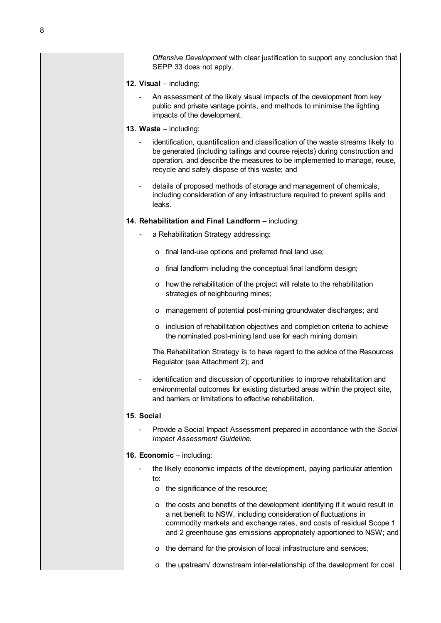*Offensive Development* with clear justification to support any conclusion that SEPP 33 does not apply.

- **12. Visual**  including:
	- An assessment of the likely visual impacts of the development from key public and private vantage points, and methods to minimise the lighting impacts of the development.
- **13. Waste**  including:
	- identification, quantification and classification of the waste streams likely to be generated (including tailings and course rejects) during construction and operation, and describe the measures to be implemented to manage, reuse, recycle and safely dispose of this waste; and
	- details of proposed methods of storage and management of chemicals, including consideration of any infrastructure required to prevent spills and leaks.

#### **14. Rehabilitation and Final Landform** – including:

- a Rehabilitation Strategy addressing:
	- o final land-use options and preferred final land use;
	- o final landform including the conceptual final landform design;
	- o how the rehabilitation of the project will relate to the rehabilitation strategies of neighbouring mines;
	- o management of potential post-mining groundwater discharges; and
	- o inclusion of rehabilitation objectives and completion criteria to achieve the nominated post-mining land use for each mining domain.

The Rehabilitation Strategy is to have regard to the advice of the Resources Regulator (see Attachment 2); and

identification and discussion of opportunities to improve rehabilitation and environmental outcomes for existing disturbed areas within the project site, and barriers or limitations to effective rehabilitation.

#### **15. Social**

- Provide a Social Impact Assessment prepared in accordance with the *Social Impact Assessment Guideline*.

#### **16. Economic** – including:

- the likely economic impacts of the development, paying particular attention  $t^{\circ}$ 
	- o the significance of the resource;
	- o the costs and benefits of the development identifying if it would result in a net benefit to NSW, including consideration of fluctuations in commodity markets and exchange rates, and costs of residual Scope 1 and 2 greenhouse gas emissions appropriately apportioned to NSW; and
	- o the demand for the provision of local infrastructure and services;
	- o the upstream/ downstream inter-relationship of the development for coal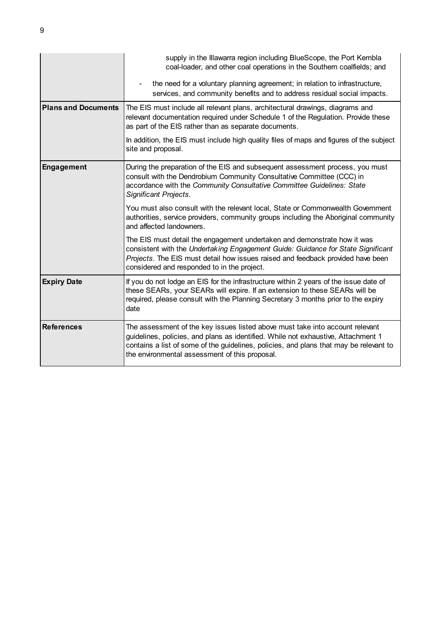|                            | supply in the Illawarra region including BlueScope, the Port Kembla<br>coal-loader, and other coal operations in the Southern coalfields; and                                                                                                                                                                  |
|----------------------------|----------------------------------------------------------------------------------------------------------------------------------------------------------------------------------------------------------------------------------------------------------------------------------------------------------------|
|                            | the need for a voluntary planning agreement; in relation to infrastructure,<br>services, and community benefits and to address residual social impacts.                                                                                                                                                        |
| <b>Plans and Documents</b> | The EIS must include all relevant plans, architectural drawings, diagrams and<br>relevant documentation required under Schedule 1 of the Regulation. Provide these<br>as part of the EIS rather than as separate documents.                                                                                    |
|                            | In addition, the EIS must include high quality files of maps and figures of the subject<br>site and proposal.                                                                                                                                                                                                  |
| <b>Engagement</b>          | During the preparation of the EIS and subsequent assessment process, you must<br>consult with the Dendrobium Community Consultative Committee (CCC) in<br>accordance with the Community Consultative Committee Guidelines: State<br><b>Significant Projects.</b>                                               |
|                            | You must also consult with the relevant local, State or Commonwealth Government<br>authorities, service providers, community groups including the Aboriginal community<br>and affected landowners.                                                                                                             |
|                            | The EIS must detail the engagement undertaken and demonstrate how it was<br>consistent with the Undertaking Engagement Guide: Guidance for State Significant<br>Projects. The EIS must detail how issues raised and feedback provided have been<br>considered and responded to in the project.                 |
| <b>Expiry Date</b>         | If you do not lodge an EIS for the infrastructure within 2 years of the issue date of<br>these SEARs, your SEARs will expire. If an extension to these SEARs will be<br>required, please consult with the Planning Secretary 3 months prior to the expiry<br>date                                              |
| <b>References</b>          | The assessment of the key issues listed above must take into account relevant<br>guidelines, policies, and plans as identified. While not exhaustive, Attachment 1<br>contains a list of some of the guidelines, policies, and plans that may be relevant to<br>the environmental assessment of this proposal. |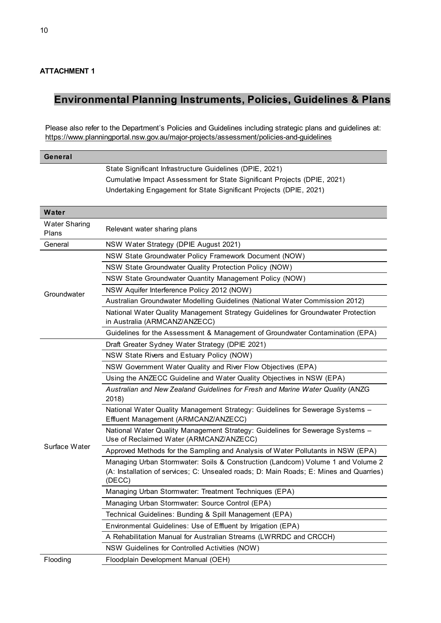### **ATTACHMENT 1**

### **Environmental Planning Instruments, Policies, Guidelines & Plans**

Please also refer to the Department's Policies and Guidelines including strategic plans and guidelines at: <https://www.planningportal.nsw.gov.au/major-projects/assessment/policies-and-guidelines>

| General                       |                                                                                                                                                                                                            |
|-------------------------------|------------------------------------------------------------------------------------------------------------------------------------------------------------------------------------------------------------|
|                               | State Significant Infrastructure Guidelines (DPIE, 2021)<br>Cumulative Impact Assessment for State Significant Projects (DPIE, 2021)<br>Undertaking Engagement for State Significant Projects (DPIE, 2021) |
| Water                         |                                                                                                                                                                                                            |
| <b>Water Sharing</b><br>Plans | Relevant water sharing plans                                                                                                                                                                               |
| General                       | NSW Water Strategy (DPIE August 2021)                                                                                                                                                                      |
|                               | NSW State Groundwater Policy Framework Document (NOW)                                                                                                                                                      |
|                               | NSW State Groundwater Quality Protection Policy (NOW)                                                                                                                                                      |
|                               | NSW State Groundwater Quantity Management Policy (NOW)                                                                                                                                                     |
| Groundwater                   | NSW Aquifer Interference Policy 2012 (NOW)                                                                                                                                                                 |
|                               | Australian Groundwater Modelling Guidelines (National Water Commission 2012)                                                                                                                               |
|                               | National Water Quality Management Strategy Guidelines for Groundwater Protection<br>in Australia (ARMCANZ/ANZECC)                                                                                          |
|                               | Guidelines for the Assessment & Management of Groundwater Contamination (EPA)                                                                                                                              |
|                               | Draft Greater Sydney Water Strategy (DPIE 2021)                                                                                                                                                            |
|                               | NSW State Rivers and Estuary Policy (NOW)                                                                                                                                                                  |
|                               | NSW Government Water Quality and River Flow Objectives (EPA)                                                                                                                                               |
|                               | Using the ANZECC Guideline and Water Quality Objectives in NSW (EPA)                                                                                                                                       |
|                               | Australian and New Zealand Guidelines for Fresh and Marine Water Quality (ANZG<br>2018)                                                                                                                    |
|                               | National Water Quality Management Strategy: Guidelines for Sewerage Systems -<br>Effluent Management (ARMCANZ/ANZECC)                                                                                      |
|                               | National Water Quality Management Strategy: Guidelines for Sewerage Systems -<br>Use of Reclaimed Water (ARMCANZ/ANZECC)                                                                                   |
| Surface Water                 | Approved Methods for the Sampling and Analysis of Water Pollutants in NSW (EPA)                                                                                                                            |
|                               | Managing Urban Stormwater: Soils & Construction (Landcom) Volume 1 and Volume 2<br>(A: Installation of services; C: Unsealed roads; D: Main Roads; E: Mines and Quarries)<br>(DECC)                        |
|                               | Managing Urban Stormwater: Treatment Techniques (EPA)                                                                                                                                                      |
|                               | Managing Urban Stormwater: Source Control (EPA)                                                                                                                                                            |
|                               | Technical Guidelines: Bunding & Spill Management (EPA)                                                                                                                                                     |
|                               | Environmental Guidelines: Use of Effluent by Irrigation (EPA)                                                                                                                                              |
|                               | A Rehabilitation Manual for Australian Streams (LWRRDC and CRCCH)                                                                                                                                          |
|                               | NSW Guidelines for Controlled Activities (NOW)                                                                                                                                                             |
| Flooding                      | Floodplain Development Manual (OEH)                                                                                                                                                                        |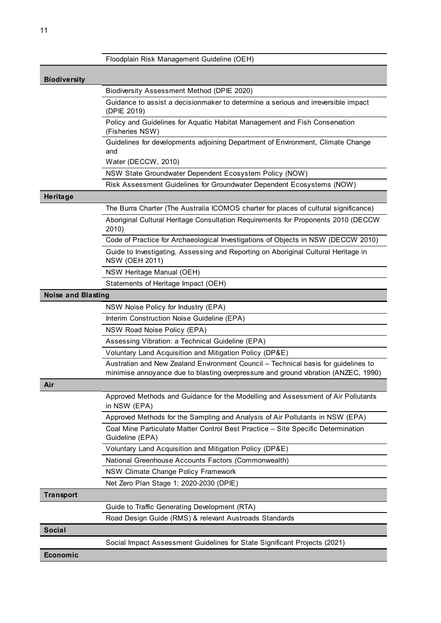|                           | Floodplain Risk Management Guideline (OEH)                                                                                                                               |
|---------------------------|--------------------------------------------------------------------------------------------------------------------------------------------------------------------------|
| <b>Biodiversity</b>       |                                                                                                                                                                          |
|                           | Biodiversity Assessment Method (DPIE 2020)                                                                                                                               |
|                           | Guidance to assist a decisionmaker to determine a serious and irreversible impact<br>(DPIE 2019)                                                                         |
|                           | Policy and Guidelines for Aquatic Habitat Management and Fish Conservation<br>(Fisheries NSW)                                                                            |
|                           | Guidelines for developments adjoining Department of Environment, Climate Change<br>and                                                                                   |
|                           | Water (DECCW, 2010)                                                                                                                                                      |
|                           | NSW State Groundwater Dependent Ecosystem Policy (NOW)                                                                                                                   |
|                           | Risk Assessment Guidelines for Groundwater Dependent Ecosystems (NOW)                                                                                                    |
| Heritage                  |                                                                                                                                                                          |
|                           | The Burra Charter (The Australia ICOMOS charter for places of cultural significance)                                                                                     |
|                           | Aboriginal Cultural Heritage Consultation Requirements for Proponents 2010 (DECCW<br>2010                                                                                |
|                           | Code of Practice for Archaeological Investigations of Objects in NSW (DECCW 2010)                                                                                        |
|                           | Guide to Investigating, Assessing and Reporting on Aboriginal Cultural Heritage in<br><b>NSW (OEH 2011)</b>                                                              |
|                           | NSW Heritage Manual (OEH)                                                                                                                                                |
|                           | Statements of Heritage Impact (OEH)                                                                                                                                      |
| <b>Noise and Blasting</b> |                                                                                                                                                                          |
|                           | NSW Noise Policy for Industry (EPA)                                                                                                                                      |
|                           | Interim Construction Noise Guideline (EPA)                                                                                                                               |
|                           | NSW Road Noise Policy (EPA)                                                                                                                                              |
|                           | Assessing Vibration: a Technical Guideline (EPA)                                                                                                                         |
|                           | Voluntary Land Acquisition and Mitigation Policy (DP&E)                                                                                                                  |
|                           | Australian and New Zealand Environment Council - Technical basis for guidelines to<br>minimise annoyance due to blasting overpressure and ground vibration (ANZEC, 1990) |
| Air                       |                                                                                                                                                                          |
|                           | Approved Methods and Guidance for the Modelling and Assessment of Air Pollutants<br>in NSW (EPA)                                                                         |
|                           | Approved Methods for the Sampling and Analysis of Air Pollutants in NSW (EPA)                                                                                            |
|                           | Coal Mine Particulate Matter Control Best Practice - Site Specific Determination<br>Guideline (EPA)                                                                      |
|                           | Voluntary Land Acquisition and Mitigation Policy (DP&E)                                                                                                                  |
|                           | National Greenhouse Accounts Factors (Commonwealth)                                                                                                                      |
|                           | NSW Climate Change Policy Framework                                                                                                                                      |
|                           | Net Zero Plan Stage 1: 2020-2030 (DPIE)                                                                                                                                  |
| <b>Transport</b>          |                                                                                                                                                                          |
|                           | Guide to Traffic Generating Development (RTA)                                                                                                                            |
|                           | Road Design Guide (RMS) & relevant Austroads Standards                                                                                                                   |
| <b>Social</b>             |                                                                                                                                                                          |
|                           | Social Impact Assessment Guidelines for State Significant Projects (2021)                                                                                                |
| Economic                  |                                                                                                                                                                          |
|                           |                                                                                                                                                                          |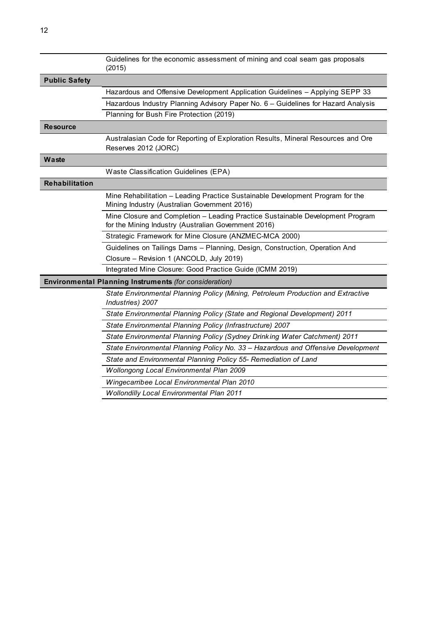|                      | Guidelines for the economic assessment of mining and coal seam gas proposals<br>(2015)                                                 |
|----------------------|----------------------------------------------------------------------------------------------------------------------------------------|
| <b>Public Safety</b> |                                                                                                                                        |
|                      | Hazardous and Offensive Development Application Guidelines - Applying SEPP 33                                                          |
|                      | Hazardous Industry Planning Advisory Paper No. 6 - Guidelines for Hazard Analysis                                                      |
|                      | Planning for Bush Fire Protection (2019)                                                                                               |
| <b>Resource</b>      |                                                                                                                                        |
|                      | Australasian Code for Reporting of Exploration Results, Mineral Resources and Ore<br>Reserves 2012 (JORC)                              |
| Waste                |                                                                                                                                        |
|                      | Waste Classification Guidelines (EPA)                                                                                                  |
| Rehabilitation       |                                                                                                                                        |
|                      | Mine Rehabilitation - Leading Practice Sustainable Development Program for the<br>Mining Industry (Australian Government 2016)         |
|                      | Mine Closure and Completion - Leading Practice Sustainable Development Program<br>for the Mining Industry (Australian Government 2016) |
|                      | Strategic Framework for Mine Closure (ANZMEC-MCA 2000)                                                                                 |
|                      | Guidelines on Tailings Dams - Planning, Design, Construction, Operation And                                                            |
|                      | Closure - Revision 1 (ANCOLD, July 2019)                                                                                               |
|                      | Integrated Mine Closure: Good Practice Guide (ICMM 2019)                                                                               |
|                      | Environmental Planning Instruments (for consideration)                                                                                 |
|                      | State Environmental Planning Policy (Mining, Petroleum Production and Extractive<br>Industries) 2007                                   |
|                      | State Environmental Planning Policy (State and Regional Development) 2011                                                              |
|                      | State Environmental Planning Policy (Infrastructure) 2007                                                                              |
|                      | State Environmental Planning Policy (Sydney Drinking Water Catchment) 2011                                                             |
|                      | State Environmental Planning Policy No. 33 - Hazardous and Offensive Development                                                       |
|                      | State and Environmental Planning Policy 55- Remediation of Land                                                                        |
|                      | <b>Wollongong Local Environmental Plan 2009</b>                                                                                        |
|                      | Wingecarribee Local Environmental Plan 2010                                                                                            |
|                      | <b>Wollondilly Local Environmental Plan 2011</b>                                                                                       |